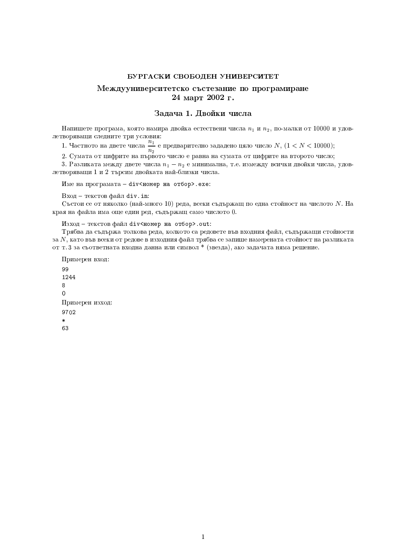# Междууниверситетско състезание по програмиране 24 март 2002 г.

### Задача 1. Двойки числа

Напишете програма, която намира двойка естествени числа  $n_1$  и  $n_2$ , по-малки от 10000 и удовлетворяващи следните три условия:

1. Частното на двете числа  $\frac{n_1}{n_2}$  е предварително зададено цяло число  $N$ ,  $(1 < N < 10000)$ ;

2. Сумата от цифрите на първото число е равна на сумата от цифрите на второто число;

3. Разликата между двете числа  $n_1 - n_2$  е минимална, т.е. измежду всички двойки числа, удовлетворяващи 1 и 2 търсим двойката най-близки числа.

Име на програмата - div<номер на отбор>. exe:

Вход - текстов файл div.in:

Състои се от няколко (най-много 10) реда, всеки съдържащ по една стойност на числото N. На края на файла има още един ред, съдържащ само числото 0.

Изход - текстов файл div<номер на отбор>.out:

Трябва да съдържа толкова реда, колкото са редовете във входния файл, съдържащи стойности за  $N$ , като във всеки от редове в изходния файл трябва се запише намерената стойност на разликата от т. 3 за съответната входна данна или символ \* (звезда), ако задачата няма решение.

```
Примерен вход:
991244
8
\mathbf 0Примерен изход:
9702
63
```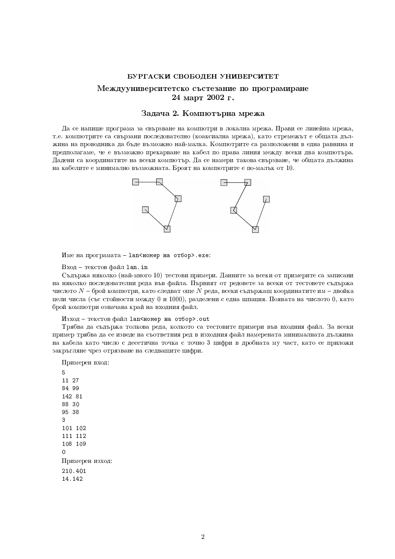# Междууниверситетско състезание по програмиране 24 март 2002 г.

# Задача 2. Компютърна мрежа

Да се напише програма за свързване на компютри в локална мрежа. Прави се линейна мрежа, т.е. компютрите са свързани последователно (коаксиална мрежа), като стремежът е общата дължина на проводника да бъде възможно най-малка. Компютрите са разположени в една равнина и предполагаме, че е възможно прекарване на кабел по права линия между всеки два компютъра. Лалени са координатите на всеки компютър. Да се намери такова свързване, че общата дължина на кабелите е минимално възможната. Броят на компютрите е по-малък от 10.



Име на програмата - 1an<номер на отбор>.ехе:

Вход - текстов файл lan.in

Съдържа няколко (най-много 10) тестови примери. Данните за всеки от примерите са записани на няколко последователни реда във файла. Първият от редовете за всеки от тестовете съдържа числото  $N$  – брой компютри, като следват още  $N$  реда, всеки съдържащ координатите им – двойка цели числа (със стойности между 0 и 1000), разделени с една шпация. Появата на числото 0, като брой компютри означава крайна входния файл.

Изход - текстов файл lan<номер на отбор>.out

Трябва да съдържа толкова реда, колкото са тестовите примери във входния файл. За всеки пример трябва да се изведе на съответния ред в изходния файл намерената минималната дължина на кабела като число с десетична точка с точно 3 цифри в дробната му част, като се приложи закръгляне чрез отрязване на следващите цифри.

Примерен вход: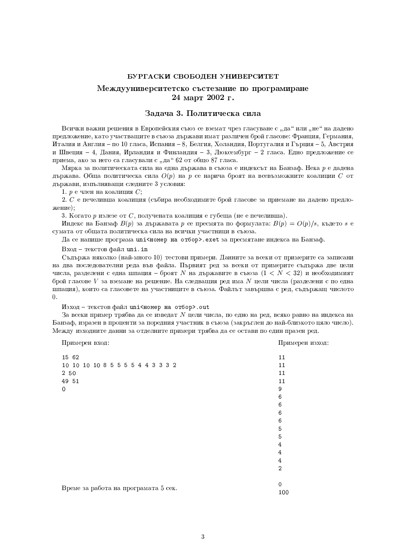# Междууниверситетско състезание по програмиране 24 март 2002 г.

### Задача 3. Политическа сила

Всички важни решения в Европейския съюз се вземат чрез гласуване с "да" или "не" на дадено предложение, като участващите в съюза държави имат различен бройгласове: Франция, Германия, Италия и Англия – по 10 гласа, Испания – 8, Белгия, Холандия, Португалия и Гърция – 5, Австрия и Швеция - 4, Дания, Ирландия и Финландия - 3, Люксембург - 2 гласа. Едно предложение се приема, ако за него са гласували с "да" 62 от общо 87 гласа.

Мярка за политическата сила на една държава в съюза е индексът на Банзаф. Нека р е дадена държава. Обща политическа сила  $O(p)$  на р се нарича броят на всевъзможните коалиции  $C$  от държави, изпълняващи следните 3 условия:

1.  $p$  е член на коалиция  $C$ .

2. С е печеливша коалиция (събира необходимите брой гласове за приемане на дадено предложение):

3. Когато р излезе от  $C$ , получената коалиция е губеща (не е печеливша).

Инлекс на Банзаф  $B(p)$  за държавата р се пресмята по формулата:  $B(p) = O(p)/s$ , където s е сумата от общата политическа сила на всички участници в съюза.

Да се напише програма uni<номер на отбор>. exet за пресмятане индекса на Банзаф.

Вход - текстов файл uni.in

Съдържа няколко (най-много 10) тестови примери. Данните за всеки от примерите са записани на два последователни реда във файла. Първият ред за всеки от примерите съдържа две цели числа, разделени с една шпация – броят N на държавите в съюза (1 < N < 32) и необходимият брой гласове V за вземане на решение. На следващия ред има N цели числа (разделени с по една шпация), които са гласовете на участниците в съюза. Файлът завършва с ред. съдържащ числото  $\Omega$ 

Изход - текстов файл uni<номер на отбор>.out

За всеки пример трябва да се изведат  $N$  цели числа, по едно на ред, всяко равно на индекса на Банзаф, изразен в проценти за поредния участник в съюза (закръглен до най-близкото цяло число). Между изходните данни за отделните примери трябва да се остави по един празен ред.

Примерен вход:

Примерен изход:

| 15 62<br>10 10 10 10 8 5 5 5 5 4 4 3 3 3 2<br>2 50<br>49 51<br>0 | 11<br>11<br>11<br>11<br>9<br>6<br>6 |
|------------------------------------------------------------------|-------------------------------------|
|                                                                  | 6                                   |
|                                                                  | 6                                   |
|                                                                  | 5                                   |
|                                                                  | 5                                   |
|                                                                  | $\overline{4}$                      |
|                                                                  | 4                                   |
|                                                                  | 4                                   |
|                                                                  | $\overline{2}$                      |
| Време за работа на програмата 5 сек.                             | 0<br>100                            |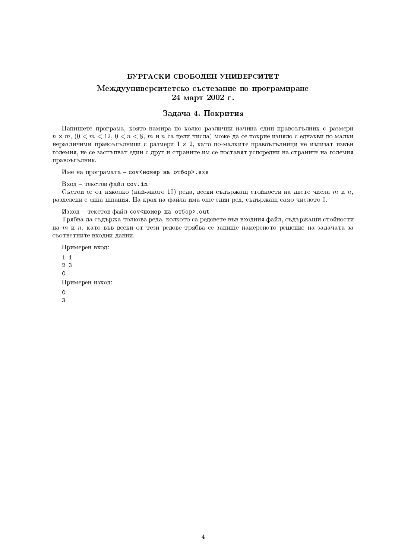# Междууниверситетско състезание по програмиране 24 март 2002 г.

# Задача 4. Покрития

Напишете програма, която намира по колко различни начина един правоъгълник с размери  $n \times m$ ,  $0 < m < 12$ ,  $0 < n < 8$ ,  $m n n$  са цели числа) може да се покрие изцяло с еднакви по-малки неразличими правоъгълници с размери  $1 \times 2$ , като по-малките правоъгълници не излизат извън големия, не се застъпват един с друг и страните им се поставят успоредни на страните на големия правоъгълник.

Име на програмата - соv<номер на отбор>. ехе

Вход - текстов файл cov.in

Състои се от няколко (най-много 10) реда, всеки съдържащ стойности на двете числа  $m$  и  $n$ , разделени с една шпация. На края на файла има още един ред, съдържащ само числото 0.

Изход - текстов файл соv<номер на отбор>.out

Трябва да съдържа толкова реда, колкото са редовете във входния файл, съдържащи стойности на ти п, като във всеки от тези редове трябва се запише намереното решение на задачата за съответните входни данни.

Примерен вход:  $1\quad1$  $2.3$  $\Omega$ Примерен изход:  $\Omega$  $\overline{3}$